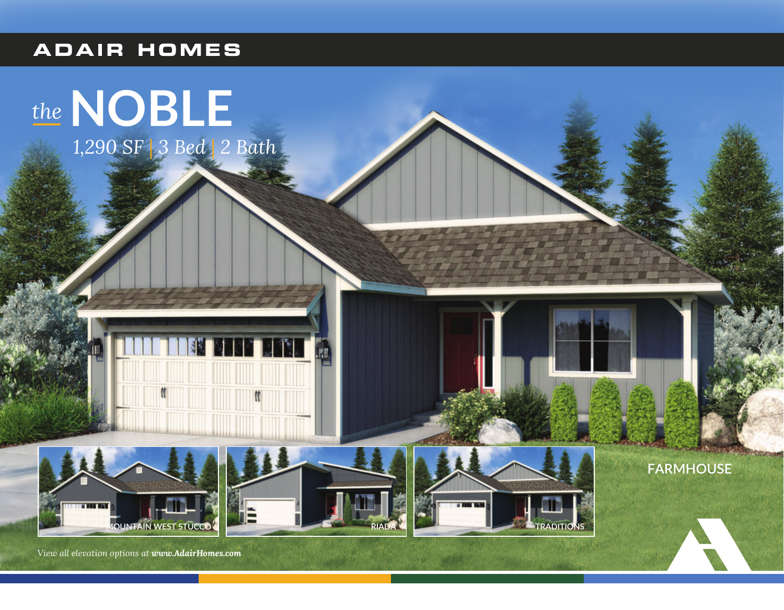## **ADAIR HOMES**









**FARMHOUSE** 

View all elevation options at www.AdairHomes.com